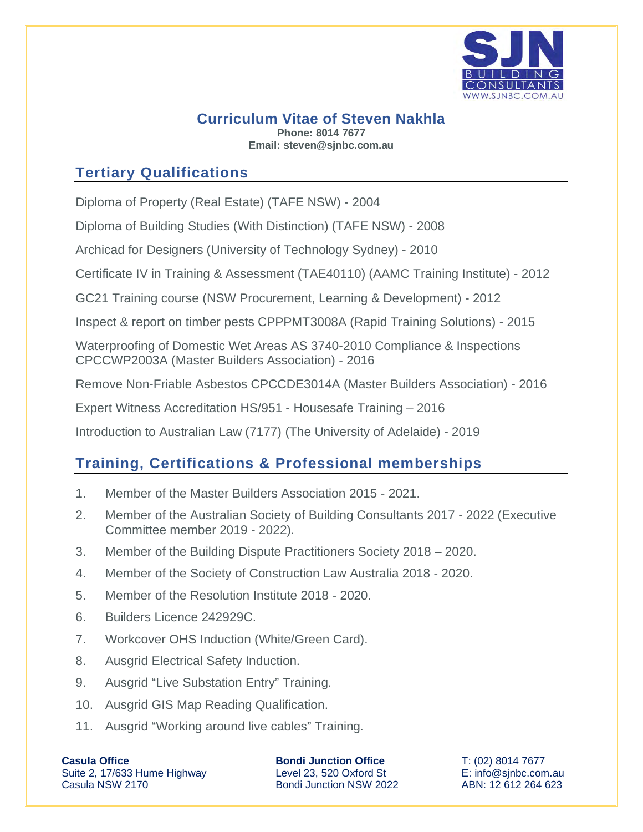

#### **Curriculum Vitae of Steven Nakhla Phone: 8014 7677 Email: steven@sjnbc.com.au**

## **Tertiary Qualifications**

Diploma of Property (Real Estate) (TAFE NSW) - 2004

Diploma of Building Studies (With Distinction) (TAFE NSW) - 2008

Archicad for Designers (University of Technology Sydney) - 2010

Certificate IV in Training & Assessment (TAE40110) (AAMC Training Institute) - 2012

GC21 Training course (NSW Procurement, Learning & Development) - 2012

Inspect & report on timber pests CPPPMT3008A (Rapid Training Solutions) - 2015

Waterproofing of Domestic Wet Areas AS 3740-2010 Compliance & Inspections CPCCWP2003A (Master Builders Association) - 2016

Remove Non-Friable Asbestos CPCCDE3014A (Master Builders Association) - 2016

Expert Witness Accreditation HS/951 - Housesafe Training – 2016

Introduction to Australian Law (7177) (The University of Adelaide) - 2019

## **Training, Certifications & Professional memberships**

- 1. Member of the Master Builders Association 2015 2021.
- 2. Member of the Australian Society of Building Consultants 2017 2022 (Executive Committee member 2019 - 2022).
- 3. Member of the Building Dispute Practitioners Society 2018 2020.
- 4. Member of the Society of Construction Law Australia 2018 2020.
- 5. Member of the Resolution Institute 2018 2020.
- 6. Builders Licence 242929C.
- 7. Workcover OHS Induction (White/Green Card).
- 8. Ausgrid Electrical Safety Induction.
- 9. Ausgrid "Live Substation Entry" Training.
- 10. Ausgrid GIS Map Reading Qualification.
- 11. Ausgrid "Working around live cables" Training.

**Casula Office**  Suite 2, 17/633 Hume Highway Casula NSW 2170

**Bondi Junction Office** Level 23, 520 Oxford St Bondi Junction NSW 2022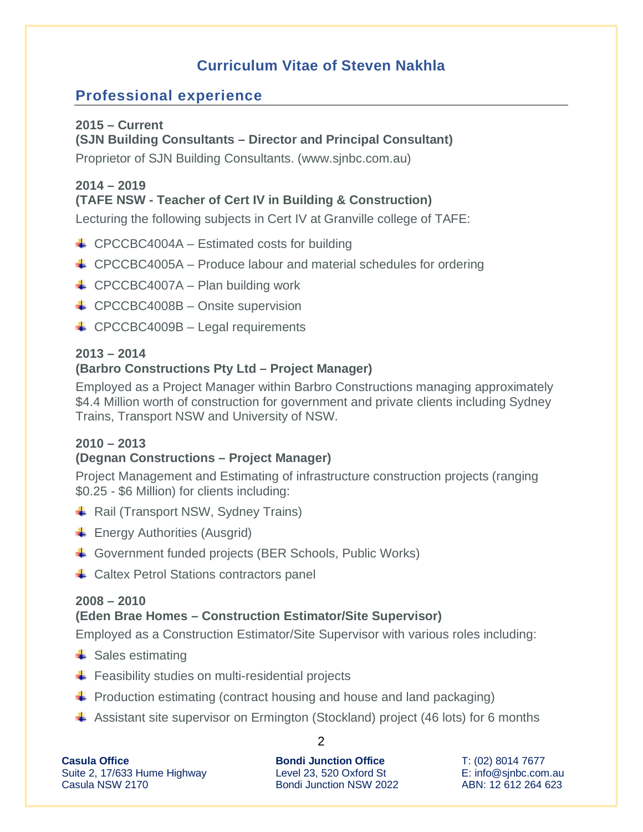# **Curriculum Vitae of Steven Nakhla**

### **Professional experience**

#### **2015 – Current**

#### **(SJN Building Consultants – Director and Principal Consultant)**

Proprietor of SJN Building Consultants. (www.sjnbc.com.au)

#### **2014 – 2019**

### **(TAFE NSW - Teacher of Cert IV in Building & Construction)**

Lecturing the following subjects in Cert IV at Granville college of TAFE:

- $\leftarrow$  CPCCBC4004A Estimated costs for building
- $\triangleq$  CPCCBC4005A Produce labour and material schedules for ordering
- $\leftarrow$  CPCCBC4007A Plan building work
- $\leftarrow$  CPCCBC4008B Onsite supervision
- $\leftarrow$  CPCCBC4009B Legal requirements

#### **2013 – 2014**

### **(Barbro Constructions Pty Ltd – Project Manager)**

Employed as a Project Manager within Barbro Constructions managing approximately \$4.4 Million worth of construction for government and private clients including Sydney Trains, Transport NSW and University of NSW.

### **2010 – 2013**

### **(Degnan Constructions – Project Manager)**

Project Management and Estimating of infrastructure construction projects (ranging \$0.25 - \$6 Million) for clients including:

- $\triangleq$  Rail (Transport NSW, Sydney Trains)
- $\leftarrow$  Energy Authorities (Ausgrid)
- Government funded projects (BER Schools, Public Works)
- $\leftarrow$  Caltex Petrol Stations contractors panel

#### **2008 – 2010**

### **(Eden Brae Homes – Construction Estimator/Site Supervisor)**

Employed as a Construction Estimator/Site Supervisor with various roles including:

- $\triangleq$  Sales estimating
- $\bigstar$  Feasibility studies on multi-residential projects
- $\div$  Production estimating (contract housing and house and land packaging)
- Assistant site supervisor on Ermington (Stockland) project (46 lots) for 6 months

| <b>Casula Office</b>         |
|------------------------------|
| Suite 2, 17/633 Hume Highway |
| Casula NSW 2170              |

2

**Bondi Junction Office** Level 23, 520 Oxford St Bondi Junction NSW 2022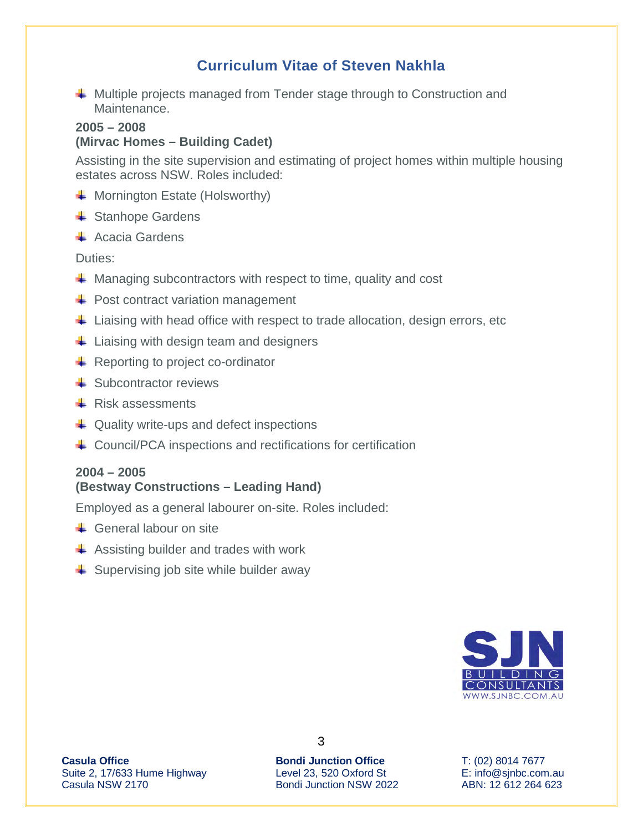## **Curriculum Vitae of Steven Nakhla**

 $\textcolor{red}{\textbf{4}}$  Multiple projects managed from Tender stage through to Construction and Maintenance.

### **2005 – 2008**

#### **(Mirvac Homes – Building Cadet)**

Assisting in the site supervision and estimating of project homes within multiple housing estates across NSW. Roles included:

- $\downarrow$  Mornington Estate (Holsworthy)
- $\triangleq$  Stanhope Gardens
- $\overline{\phantom{a}}$  Acacia Gardens

Duties:

- $\downarrow$  Managing subcontractors with respect to time, quality and cost
- $\div$  Post contract variation management
- $\ddot{\phantom{1}}$  Liaising with head office with respect to trade allocation, design errors, etc
- $\frac{1}{\sqrt{2}}$  Liaising with design team and designers
- $\overline{\phantom{a}}$  Reporting to project co-ordinator
- $\triangleq$  Subcontractor reviews
- $\overline{\phantom{a}}$  Risk assessments
- $\downarrow$  Quality write-ups and defect inspections
- $\triangleq$  Council/PCA inspections and rectifications for certification

#### **2004 – 2005**

#### **(Bestway Constructions – Leading Hand)**

Employed as a general labourer on-site. Roles included:

- **↓** General labour on site
- $\triangleq$  Assisting builder and trades with work
- $\frac{1}{\sqrt{2}}$  Supervising job site while builder away



**Casula Office**  Suite 2, 17/633 Hume Highway Casula NSW 2170

**Bondi Junction Office** Level 23, 520 Oxford St Bondi Junction NSW 2022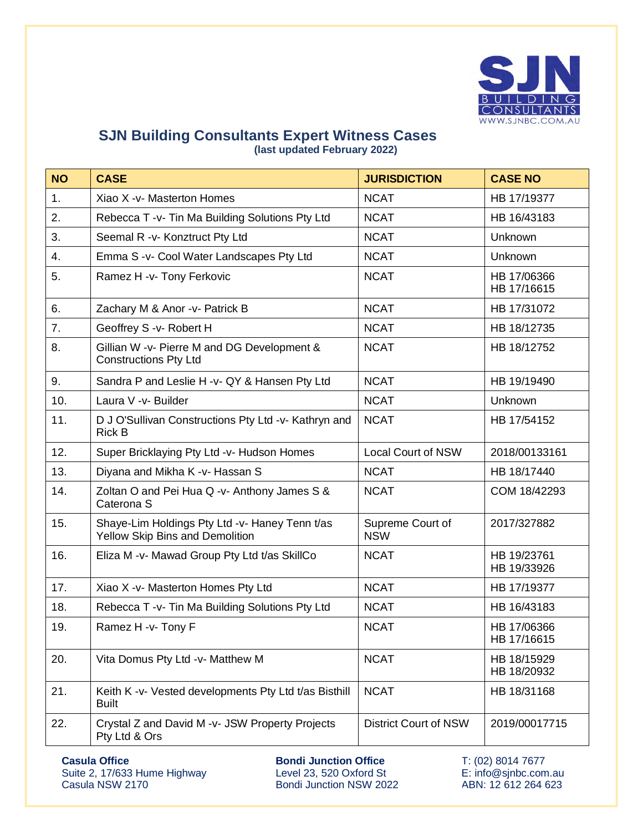

#### **SJN Building Consultants Expert Witness Cases (last updated February 2022)**

| <b>NO</b>      | <b>CASE</b>                                                                       | <b>JURISDICTION</b>            | <b>CASE NO</b>             |
|----------------|-----------------------------------------------------------------------------------|--------------------------------|----------------------------|
| 1 <sub>1</sub> | Xiao X -v- Masterton Homes                                                        | <b>NCAT</b>                    | HB 17/19377                |
| 2.             | Rebecca T -v- Tin Ma Building Solutions Pty Ltd                                   | <b>NCAT</b>                    | HB 16/43183                |
| 3.             | Seemal R -v- Konztruct Pty Ltd                                                    | <b>NCAT</b>                    | Unknown                    |
| 4.             | Emma S -v- Cool Water Landscapes Pty Ltd                                          | <b>NCAT</b>                    | Unknown                    |
| 5.             | Ramez H -v- Tony Ferkovic                                                         | <b>NCAT</b>                    | HB 17/06366<br>HB 17/16615 |
| 6.             | Zachary M & Anor -v- Patrick B                                                    | <b>NCAT</b>                    | HB 17/31072                |
| 7.             | Geoffrey S -v- Robert H                                                           | <b>NCAT</b>                    | HB 18/12735                |
| 8.             | Gillian W -v- Pierre M and DG Development &<br><b>Constructions Pty Ltd</b>       | <b>NCAT</b>                    | HB 18/12752                |
| 9.             | Sandra P and Leslie H -v- QY & Hansen Pty Ltd                                     | <b>NCAT</b>                    | HB 19/19490                |
| 10.            | Laura V -v- Builder                                                               | <b>NCAT</b>                    | Unknown                    |
| 11.            | D J O'Sullivan Constructions Pty Ltd -v- Kathryn and<br><b>Rick B</b>             | <b>NCAT</b>                    | HB 17/54152                |
| 12.            | Super Bricklaying Pty Ltd -v- Hudson Homes                                        | <b>Local Court of NSW</b>      | 2018/00133161              |
| 13.            | Diyana and Mikha K -v- Hassan S                                                   | <b>NCAT</b>                    | HB 18/17440                |
| 14.            | Zoltan O and Pei Hua Q -v- Anthony James S &<br>Caterona <sub>S</sub>             | <b>NCAT</b>                    | COM 18/42293               |
| 15.            | Shaye-Lim Holdings Pty Ltd -v- Haney Tenn t/as<br>Yellow Skip Bins and Demolition | Supreme Court of<br><b>NSW</b> | 2017/327882                |
| 16.            | Eliza M -v- Mawad Group Pty Ltd t/as SkillCo                                      | <b>NCAT</b>                    | HB 19/23761<br>HB 19/33926 |
| 17.            | Xiao X -v- Masterton Homes Pty Ltd                                                | <b>NCAT</b>                    | HB 17/19377                |
| 18.            | Rebecca T -v- Tin Ma Building Solutions Pty Ltd                                   | <b>NCAT</b>                    | HB 16/43183                |
| 19.            | Ramez H -v- Tony F                                                                | <b>NCAT</b>                    | HB 17/06366<br>HB 17/16615 |
| 20.            | Vita Domus Pty Ltd -v- Matthew M                                                  | <b>NCAT</b>                    | HB 18/15929<br>HB 18/20932 |
| 21.            | Keith K -v- Vested developments Pty Ltd t/as Bisthill<br><b>Built</b>             | <b>NCAT</b>                    | HB 18/31168                |
| 22.            | Crystal Z and David M -v- JSW Property Projects<br>Pty Ltd & Ors                  | <b>District Court of NSW</b>   | 2019/00017715              |

**Casula Office**  Suite 2, 17/633 Hume Highway Casula NSW 2170

**Bondi Junction Office** Level 23, 520 Oxford St Bondi Junction NSW 2022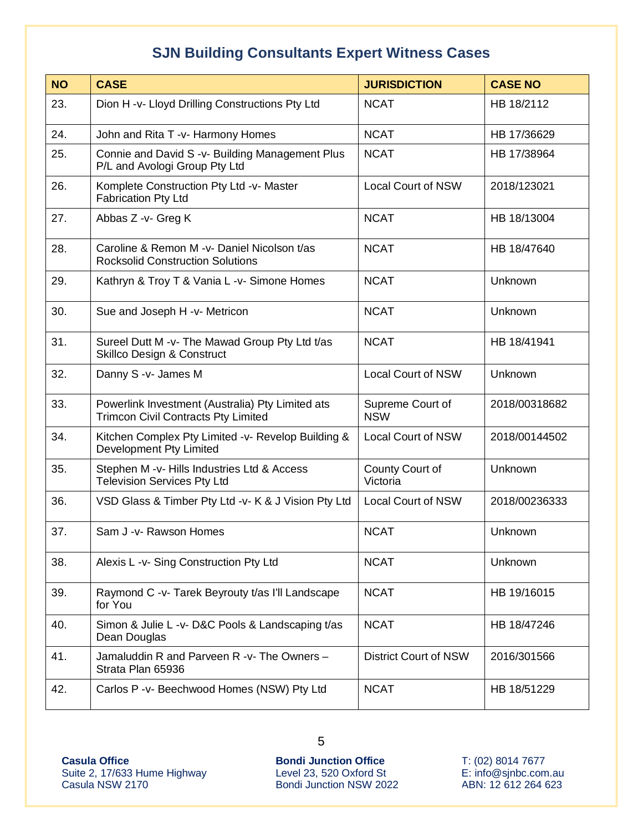| <b>NO</b> | <b>CASE</b>                                                                                    | <b>JURISDICTION</b>            | <b>CASE NO</b> |
|-----------|------------------------------------------------------------------------------------------------|--------------------------------|----------------|
| 23.       | Dion H -v- Lloyd Drilling Constructions Pty Ltd                                                | <b>NCAT</b>                    | HB 18/2112     |
| 24.       | John and Rita T -v- Harmony Homes                                                              | <b>NCAT</b>                    | HB 17/36629    |
| 25.       | Connie and David S -v- Building Management Plus<br>P/L and Avologi Group Pty Ltd               | <b>NCAT</b>                    | HB 17/38964    |
| 26.       | Komplete Construction Pty Ltd -v- Master<br><b>Fabrication Pty Ltd</b>                         | <b>Local Court of NSW</b>      | 2018/123021    |
| 27.       | Abbas Z -v- Greg K                                                                             | <b>NCAT</b>                    | HB 18/13004    |
| 28.       | Caroline & Remon M - v- Daniel Nicolson t/as<br><b>Rocksolid Construction Solutions</b>        | <b>NCAT</b>                    | HB 18/47640    |
| 29.       | Kathryn & Troy T & Vania L -v- Simone Homes                                                    | <b>NCAT</b>                    | Unknown        |
| 30.       | Sue and Joseph H -v- Metricon                                                                  | <b>NCAT</b>                    | Unknown        |
| 31.       | Sureel Dutt M -v- The Mawad Group Pty Ltd t/as<br>Skillco Design & Construct                   | <b>NCAT</b>                    | HB 18/41941    |
| 32.       | Danny S -v- James M                                                                            | <b>Local Court of NSW</b>      | Unknown        |
| 33.       | Powerlink Investment (Australia) Pty Limited ats<br><b>Trimcon Civil Contracts Pty Limited</b> | Supreme Court of<br><b>NSW</b> | 2018/00318682  |
| 34.       | Kitchen Complex Pty Limited -v- Revelop Building &<br>Development Pty Limited                  | <b>Local Court of NSW</b>      | 2018/00144502  |
| 35.       | Stephen M -v- Hills Industries Ltd & Access<br><b>Television Services Pty Ltd</b>              | County Court of<br>Victoria    | Unknown        |
| 36.       | VSD Glass & Timber Pty Ltd -v- K & J Vision Pty Ltd                                            | <b>Local Court of NSW</b>      | 2018/00236333  |
| 37.       | Sam J -v- Rawson Homes                                                                         | <b>NCAT</b>                    | Unknown        |
| 38.       | Alexis L -v- Sing Construction Pty Ltd                                                         | <b>NCAT</b>                    | Unknown        |
| 39.       | Raymond C -v- Tarek Beyrouty t/as I'll Landscape<br>for You                                    | <b>NCAT</b>                    | HB 19/16015    |
| 40.       | Simon & Julie L -v- D&C Pools & Landscaping t/as<br>Dean Douglas                               | <b>NCAT</b>                    | HB 18/47246    |
| 41.       | Jamaluddin R and Parveen R -v- The Owners -<br>Strata Plan 65936                               | <b>District Court of NSW</b>   | 2016/301566    |
| 42.       | Carlos P -v- Beechwood Homes (NSW) Pty Ltd                                                     | <b>NCAT</b>                    | HB 18/51229    |

**Casula Office**  Suite 2, 17/633 Hume Highway Casula NSW 2170

**Bondi Junction Office** Level 23, 520 Oxford St Bondi Junction NSW 2022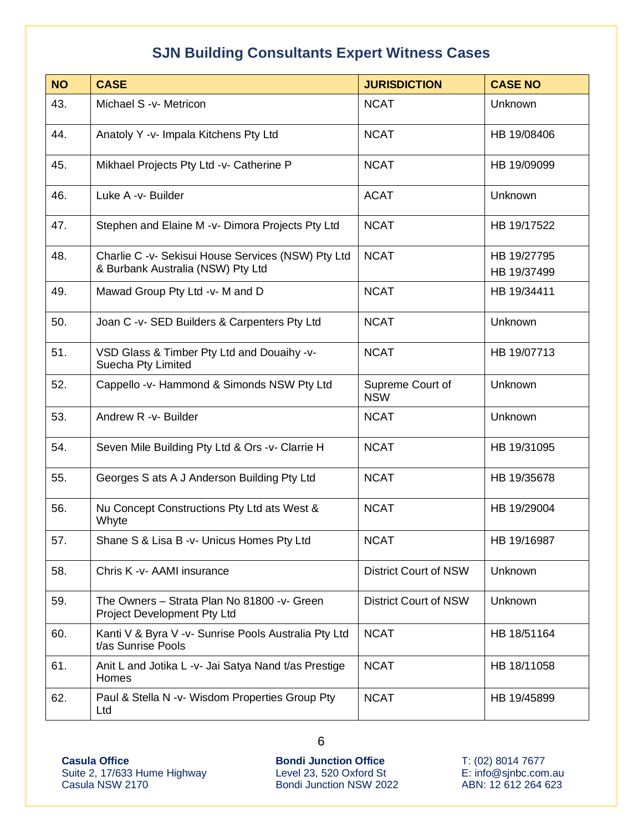| <b>NO</b> | <b>CASE</b>                                                                             | <b>JURISDICTION</b>            | <b>CASE NO</b>             |
|-----------|-----------------------------------------------------------------------------------------|--------------------------------|----------------------------|
| 43.       | Michael S -v- Metricon                                                                  | <b>NCAT</b>                    | Unknown                    |
| 44.       | Anatoly Y -v- Impala Kitchens Pty Ltd                                                   | <b>NCAT</b>                    | HB 19/08406                |
| 45.       | Mikhael Projects Pty Ltd -v- Catherine P                                                | <b>NCAT</b>                    | HB 19/09099                |
| 46.       | Luke A -v- Builder                                                                      | <b>ACAT</b>                    | Unknown                    |
| 47.       | Stephen and Elaine M -v- Dimora Projects Pty Ltd                                        | <b>NCAT</b>                    | HB 19/17522                |
| 48.       | Charlie C -v- Sekisui House Services (NSW) Pty Ltd<br>& Burbank Australia (NSW) Pty Ltd | <b>NCAT</b>                    | HB 19/27795<br>HB 19/37499 |
| 49.       | Mawad Group Pty Ltd -v- M and D                                                         | <b>NCAT</b>                    | HB 19/34411                |
| 50.       | Joan C -v- SED Builders & Carpenters Pty Ltd                                            | <b>NCAT</b>                    | Unknown                    |
| 51.       | VSD Glass & Timber Pty Ltd and Douaihy -v-<br>Suecha Pty Limited                        | <b>NCAT</b>                    | HB 19/07713                |
| 52.       | Cappello -v- Hammond & Simonds NSW Pty Ltd                                              | Supreme Court of<br><b>NSW</b> | Unknown                    |
| 53.       | Andrew R -v- Builder                                                                    | <b>NCAT</b>                    | Unknown                    |
| 54.       | Seven Mile Building Pty Ltd & Ors -v- Clarrie H                                         | <b>NCAT</b>                    | HB 19/31095                |
| 55.       | Georges S ats A J Anderson Building Pty Ltd                                             | <b>NCAT</b>                    | HB 19/35678                |
| 56.       | Nu Concept Constructions Pty Ltd ats West &<br>Whyte                                    | <b>NCAT</b>                    | HB 19/29004                |
| 57.       | Shane S & Lisa B -v- Unicus Homes Pty Ltd                                               | <b>NCAT</b>                    | HB 19/16987                |
| 58.       | Chris K -v- AAMI insurance                                                              | <b>District Court of NSW</b>   | Unknown                    |
| 59.       | The Owners - Strata Plan No 81800 - v- Green<br>Project Development Pty Ltd             | <b>District Court of NSW</b>   | Unknown                    |
| 60.       | Kanti V & Byra V -v- Sunrise Pools Australia Pty Ltd<br>t/as Sunrise Pools              | <b>NCAT</b>                    | HB 18/51164                |
| 61.       | Anit L and Jotika L -v- Jai Satya Nand t/as Prestige<br>Homes                           | <b>NCAT</b>                    | HB 18/11058                |
| 62.       | Paul & Stella N -v- Wisdom Properties Group Pty<br>Ltd                                  | <b>NCAT</b>                    | HB 19/45899                |

**Casula Office**  Suite 2, 17/633 Hume Highway Casula NSW 2170

**Bondi Junction Office** Level 23, 520 Oxford St Bondi Junction NSW 2022 T: (02) 8014 7677 E: info@sjnbc.com.au ABN: 12 612 264 623

6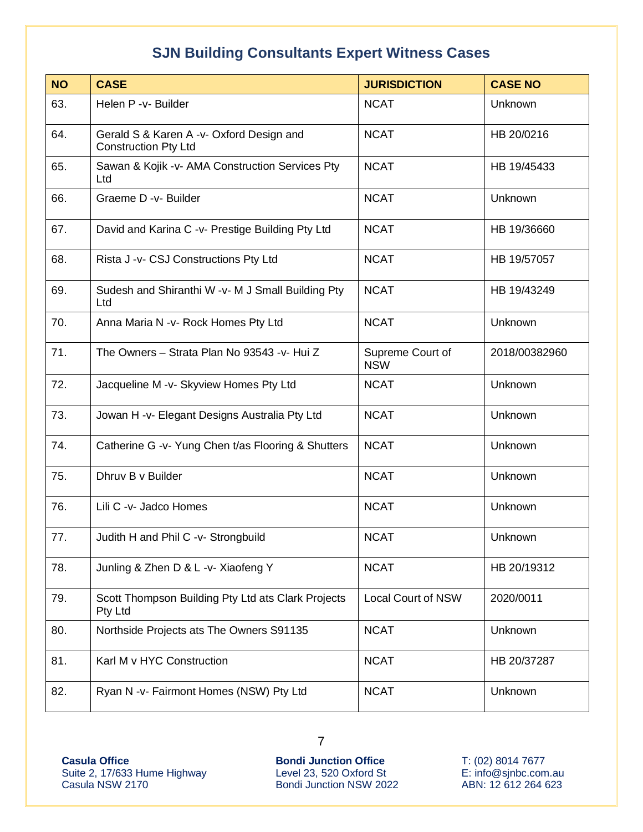| <b>NO</b> | <b>CASE</b>                                                             | <b>JURISDICTION</b>            | <b>CASE NO</b> |
|-----------|-------------------------------------------------------------------------|--------------------------------|----------------|
| 63.       | Helen P -v- Builder                                                     | <b>NCAT</b>                    | Unknown        |
| 64.       | Gerald S & Karen A -v- Oxford Design and<br><b>Construction Pty Ltd</b> | <b>NCAT</b>                    | HB 20/0216     |
| 65.       | Sawan & Kojik -v- AMA Construction Services Pty<br>Ltd                  | <b>NCAT</b>                    | HB 19/45433    |
| 66.       | Graeme D - v- Builder                                                   | <b>NCAT</b>                    | Unknown        |
| 67.       | David and Karina C -v- Prestige Building Pty Ltd                        | <b>NCAT</b>                    | HB 19/36660    |
| 68.       | Rista J -v- CSJ Constructions Pty Ltd                                   | <b>NCAT</b>                    | HB 19/57057    |
| 69.       | Sudesh and Shiranthi W -v- M J Small Building Pty<br>Ltd                | <b>NCAT</b>                    | HB 19/43249    |
| 70.       | Anna Maria N -v- Rock Homes Pty Ltd                                     | <b>NCAT</b>                    | Unknown        |
| 71.       | The Owners - Strata Plan No 93543 -v- Hui Z                             | Supreme Court of<br><b>NSW</b> | 2018/00382960  |
| 72.       | Jacqueline M -v- Skyview Homes Pty Ltd                                  | <b>NCAT</b>                    | Unknown        |
| 73.       | Jowan H -v- Elegant Designs Australia Pty Ltd                           | <b>NCAT</b>                    | Unknown        |
| 74.       | Catherine G -v- Yung Chen t/as Flooring & Shutters                      | <b>NCAT</b>                    | Unknown        |
| 75.       | Dhruv B v Builder                                                       | <b>NCAT</b>                    | Unknown        |
| 76.       | Lili C -v- Jadco Homes                                                  | <b>NCAT</b>                    | Unknown        |
| 77.       | Judith H and Phil C -v- Strongbuild                                     | <b>NCAT</b>                    | Unknown        |
| 78.       | Junling & Zhen D & L -v- Xiaofeng Y                                     | <b>NCAT</b>                    | HB 20/19312    |
| 79.       | Scott Thompson Building Pty Ltd ats Clark Projects<br>Pty Ltd           | <b>Local Court of NSW</b>      | 2020/0011      |
| 80.       | Northside Projects ats The Owners S91135                                | <b>NCAT</b>                    | Unknown        |
| 81.       | Karl M v HYC Construction                                               | <b>NCAT</b>                    | HB 20/37287    |
| 82.       | Ryan N -v- Fairmont Homes (NSW) Pty Ltd                                 | <b>NCAT</b>                    | Unknown        |

**Casula Office**  Suite 2, 17/633 Hume Highway Casula NSW 2170

**Bondi Junction Office** Level 23, 520 Oxford St Bondi Junction NSW 2022 T: (02) 8014 7677 E: info@sjnbc.com.au ABN: 12 612 264 623

7